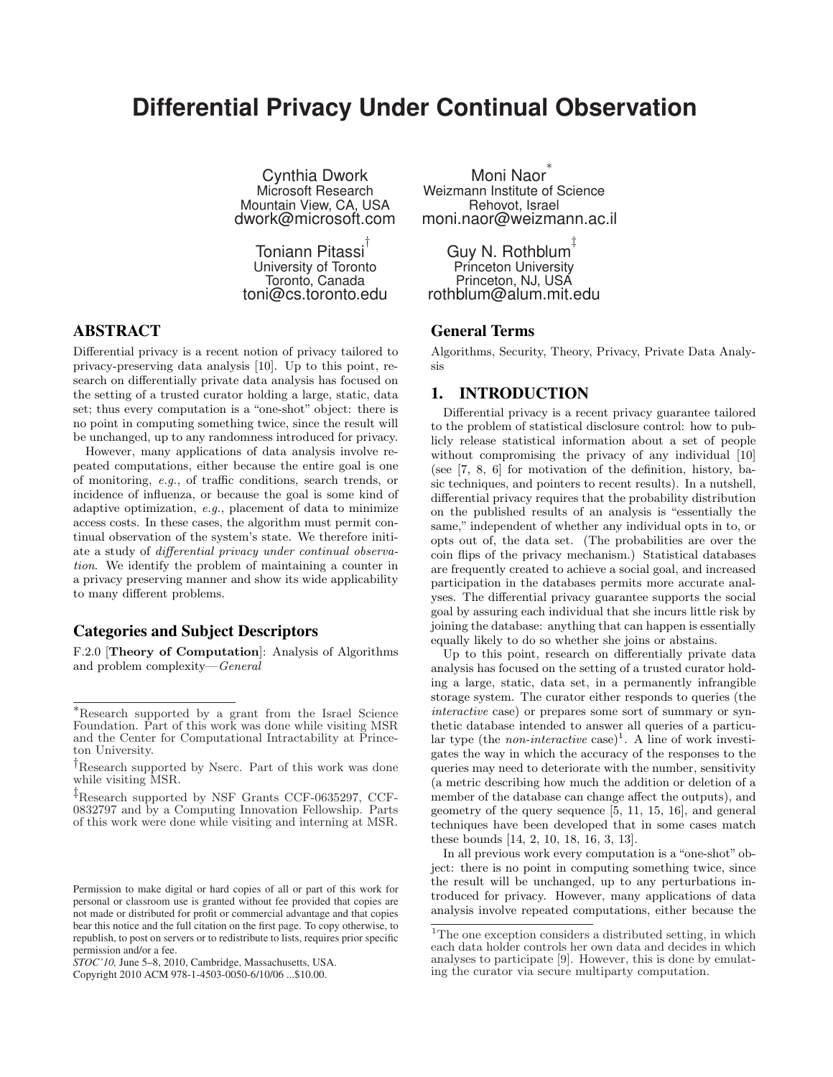# **Differential Privacy Under Continual Observation**

Cynthia Dwork Microsoft Research Mountain View, CA, USA dwork@microsoft.com

Toniann Pitassi † University of Toronto Toronto, Canada toni@cs.toronto.edu

# ABSTRACT

Differential privacy is a recent notion of privacy tailored to privacy-preserving data analysis [10]. Up to this point, research on differentially private data analysis has focused on the setting of a trusted curator holding a large, static, data set; thus every computation is a "one-shot" object: there is no point in computing something twice, since the result will be unchanged, up to any randomness introduced for privacy.

However, many applications of data analysis involve repeated computations, either because the entire goal is one of monitoring, e.g., of traffic conditions, search trends, or incidence of influenza, or because the goal is some kind of adaptive optimization, e.g., placement of data to minimize access costs. In these cases, the algorithm must permit continual observation of the system's state. We therefore initiate a study of differential privacy under continual observation. We identify the problem of maintaining a counter in a privacy preserving manner and show its wide applicability to many different problems.

### Categories and Subject Descriptors

F.2.0 [Theory of Computation]: Analysis of Algorithms and problem complexity—General

Moni Naor<sup>\*</sup> Weizmann Institute of Science Rehovot, Israel moni.naor@weizmann.ac.il

Guy N. Rothblum $\overline{f}$ Princeton University Princeton, NJ, USA rothblum@alum.mit.edu

# General Terms

Algorithms, Security, Theory, Privacy, Private Data Analysis

### 1. INTRODUCTION

Differential privacy is a recent privacy guarantee tailored to the problem of statistical disclosure control: how to publicly release statistical information about a set of people without compromising the privacy of any individual [10] (see [7, 8, 6] for motivation of the definition, history, basic techniques, and pointers to recent results). In a nutshell, differential privacy requires that the probability distribution on the published results of an analysis is "essentially the same," independent of whether any individual opts in to, or opts out of, the data set. (The probabilities are over the coin flips of the privacy mechanism.) Statistical databases are frequently created to achieve a social goal, and increased participation in the databases permits more accurate analyses. The differential privacy guarantee supports the social goal by assuring each individual that she incurs little risk by joining the database: anything that can happen is essentially equally likely to do so whether she joins or abstains.

Up to this point, research on differentially private data analysis has focused on the setting of a trusted curator holding a large, static, data set, in a permanently infrangible storage system. The curator either responds to queries (the interactive case) or prepares some sort of summary or synthetic database intended to answer all queries of a particular type (the *non-interactive* case)<sup>1</sup>. A line of work investigates the way in which the accuracy of the responses to the queries may need to deteriorate with the number, sensitivity (a metric describing how much the addition or deletion of a member of the database can change affect the outputs), and geometry of the query sequence [5, 11, 15, 16], and general techniques have been developed that in some cases match these bounds [14, 2, 10, 18, 16, 3, 13].

In all previous work every computation is a "one-shot" object: there is no point in computing something twice, since the result will be unchanged, up to any perturbations introduced for privacy. However, many applications of data analysis involve repeated computations, either because the

<sup>∗</sup>Research supported by a grant from the Israel Science Foundation. Part of this work was done while visiting MSR and the Center for Computational Intractability at Princeton University.

<sup>†</sup>Research supported by Nserc. Part of this work was done while visiting MSR.

<sup>‡</sup>Research supported by NSF Grants CCF-0635297, CCF-0832797 and by a Computing Innovation Fellowship. Parts of this work were done while visiting and interning at MSR.

Permission to make digital or hard copies of all or part of this work for personal or classroom use is granted without fee provided that copies are not made or distributed for profit or commercial advantage and that copies bear this notice and the full citation on the first page. To copy otherwise, to republish, to post on servers or to redistribute to lists, requires prior specific permission and/or a fee.

*STOC'10,* June 5–8, 2010, Cambridge, Massachusetts, USA.

Copyright 2010 ACM 978-1-4503-0050-6/10/06 ...\$10.00.

 $^1\mathrm{The}$  one exception considers a distributed setting, in which each data holder controls her own data and decides in which analyses to participate [9]. However, this is done by emulating the curator via secure multiparty computation.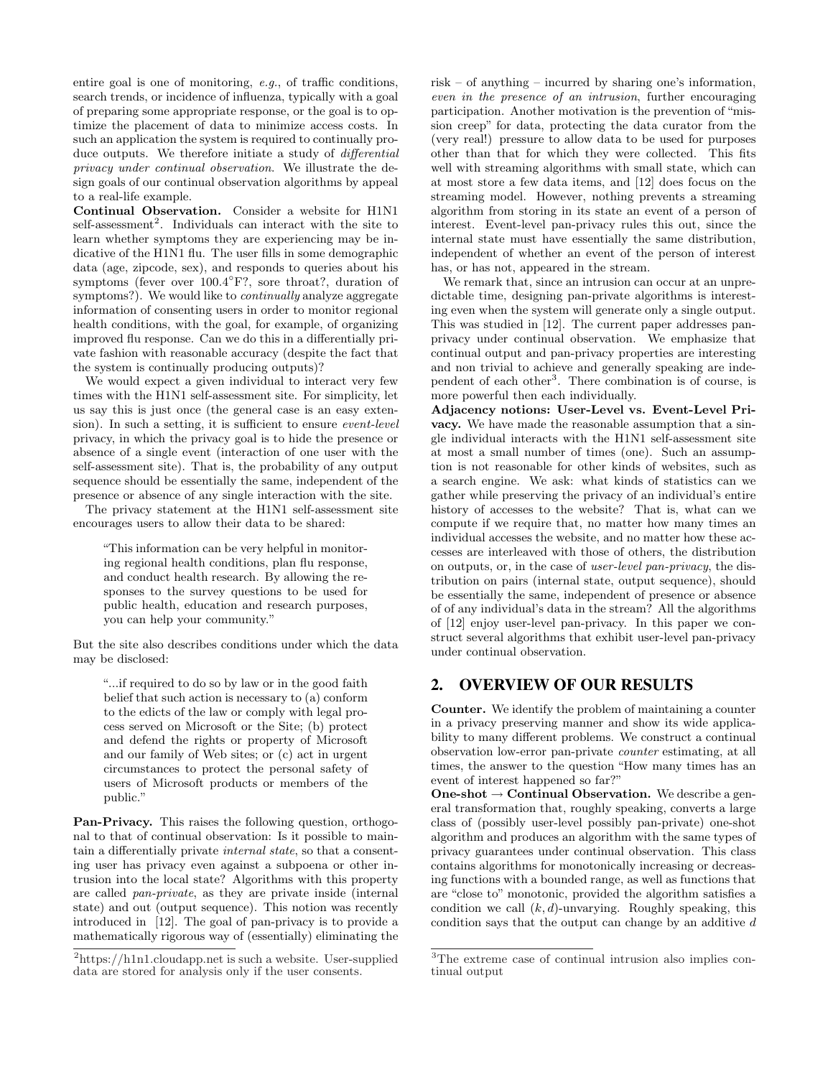entire goal is one of monitoring, e.g., of traffic conditions, search trends, or incidence of influenza, typically with a goal of preparing some appropriate response, or the goal is to optimize the placement of data to minimize access costs. In such an application the system is required to continually produce outputs. We therefore initiate a study of *differential* privacy under continual observation. We illustrate the design goals of our continual observation algorithms by appeal to a real-life example.

Continual Observation. Consider a website for H1N1 self-assessment<sup>2</sup>. Individuals can interact with the site to learn whether symptoms they are experiencing may be indicative of the H1N1 flu. The user fills in some demographic data (age, zipcode, sex), and responds to queries about his symptoms (fever over 100.4°F?, sore throat?, duration of symptoms?). We would like to continually analyze aggregate information of consenting users in order to monitor regional health conditions, with the goal, for example, of organizing improved flu response. Can we do this in a differentially private fashion with reasonable accuracy (despite the fact that the system is continually producing outputs)?

We would expect a given individual to interact very few times with the H1N1 self-assessment site. For simplicity, let us say this is just once (the general case is an easy extension). In such a setting, it is sufficient to ensure *event-level* privacy, in which the privacy goal is to hide the presence or absence of a single event (interaction of one user with the self-assessment site). That is, the probability of any output sequence should be essentially the same, independent of the presence or absence of any single interaction with the site.

The privacy statement at the H1N1 self-assessment site encourages users to allow their data to be shared:

"This information can be very helpful in monitoring regional health conditions, plan flu response, and conduct health research. By allowing the responses to the survey questions to be used for public health, education and research purposes, you can help your community."

But the site also describes conditions under which the data may be disclosed:

"...if required to do so by law or in the good faith belief that such action is necessary to (a) conform to the edicts of the law or comply with legal process served on Microsoft or the Site; (b) protect and defend the rights or property of Microsoft and our family of Web sites; or (c) act in urgent circumstances to protect the personal safety of users of Microsoft products or members of the public."

Pan-Privacy. This raises the following question, orthogonal to that of continual observation: Is it possible to maintain a differentially private internal state, so that a consenting user has privacy even against a subpoena or other intrusion into the local state? Algorithms with this property are called pan-private, as they are private inside (internal state) and out (output sequence). This notion was recently introduced in [12]. The goal of pan-privacy is to provide a mathematically rigorous way of (essentially) eliminating the risk – of anything – incurred by sharing one's information, even in the presence of an intrusion, further encouraging participation. Another motivation is the prevention of "mission creep" for data, protecting the data curator from the (very real!) pressure to allow data to be used for purposes other than that for which they were collected. This fits well with streaming algorithms with small state, which can at most store a few data items, and [12] does focus on the streaming model. However, nothing prevents a streaming algorithm from storing in its state an event of a person of interest. Event-level pan-privacy rules this out, since the internal state must have essentially the same distribution, independent of whether an event of the person of interest has, or has not, appeared in the stream.

We remark that, since an intrusion can occur at an unpredictable time, designing pan-private algorithms is interesting even when the system will generate only a single output. This was studied in [12]. The current paper addresses panprivacy under continual observation. We emphasize that continual output and pan-privacy properties are interesting and non trivial to achieve and generally speaking are independent of each other<sup>3</sup>. There combination is of course, is more powerful then each individually.

Adjacency notions: User-Level vs. Event-Level Privacy. We have made the reasonable assumption that a single individual interacts with the H1N1 self-assessment site at most a small number of times (one). Such an assumption is not reasonable for other kinds of websites, such as a search engine. We ask: what kinds of statistics can we gather while preserving the privacy of an individual's entire history of accesses to the website? That is, what can we compute if we require that, no matter how many times an individual accesses the website, and no matter how these accesses are interleaved with those of others, the distribution on outputs, or, in the case of user-level pan-privacy, the distribution on pairs (internal state, output sequence), should be essentially the same, independent of presence or absence of of any individual's data in the stream? All the algorithms of [12] enjoy user-level pan-privacy. In this paper we construct several algorithms that exhibit user-level pan-privacy under continual observation.

# 2. OVERVIEW OF OUR RESULTS

Counter. We identify the problem of maintaining a counter in a privacy preserving manner and show its wide applicability to many different problems. We construct a continual observation low-error pan-private counter estimating, at all times, the answer to the question "How many times has an event of interest happened so far?"

One-shot  $\rightarrow$  Continual Observation. We describe a general transformation that, roughly speaking, converts a large class of (possibly user-level possibly pan-private) one-shot algorithm and produces an algorithm with the same types of privacy guarantees under continual observation. This class contains algorithms for monotonically increasing or decreasing functions with a bounded range, as well as functions that are "close to" monotonic, provided the algorithm satisfies a condition we call  $(k, d)$ -unvarying. Roughly speaking, this condition says that the output can change by an additive d

<sup>2</sup>https://h1n1.cloudapp.net is such a website. User-supplied data are stored for analysis only if the user consents.

<sup>3</sup>The extreme case of continual intrusion also implies continual output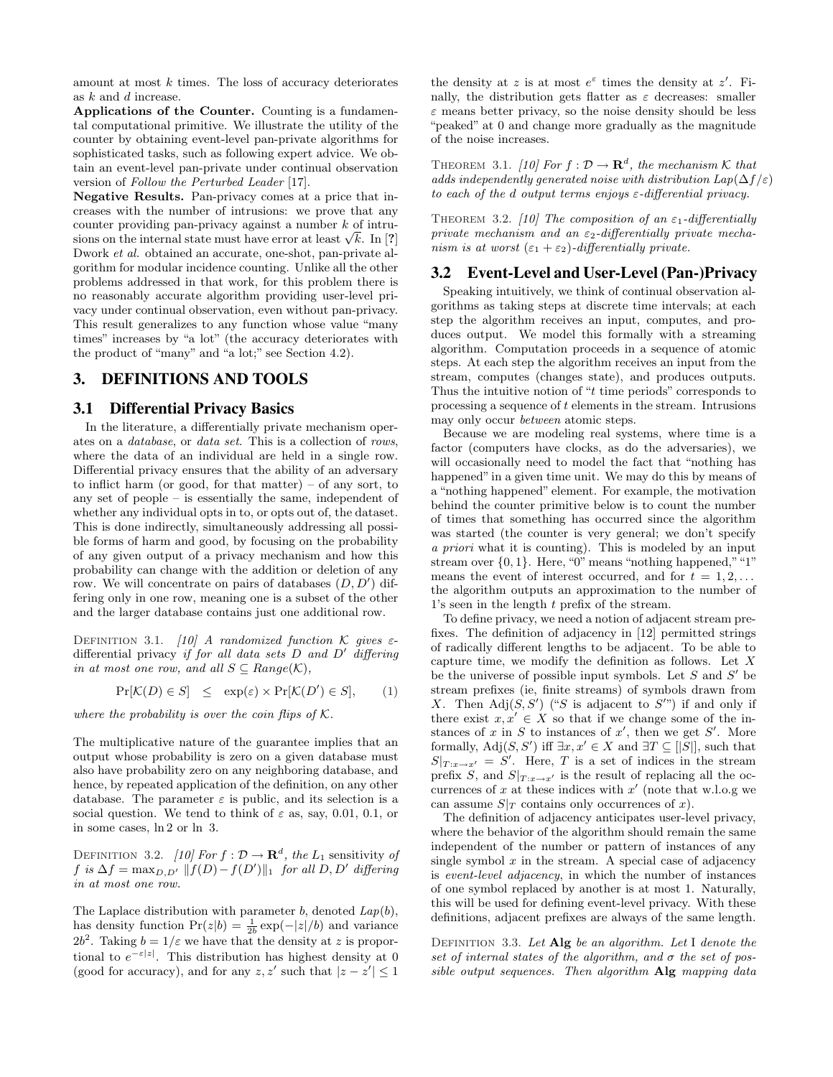amount at most  $k$  times. The loss of accuracy deteriorates as k and d increase.

Applications of the Counter. Counting is a fundamental computational primitive. We illustrate the utility of the counter by obtaining event-level pan-private algorithms for sophisticated tasks, such as following expert advice. We obtain an event-level pan-private under continual observation version of Follow the Perturbed Leader [17].

Negative Results. Pan-privacy comes at a price that increases with the number of intrusions: we prove that any counter providing pan-privacy against a number  $k$  of intrucounter providing pan-privacy against a number  $k$  of intrusions on the internal state must have error at least  $\sqrt{k}$ . In [?] Dwork et al. obtained an accurate, one-shot, pan-private algorithm for modular incidence counting. Unlike all the other problems addressed in that work, for this problem there is no reasonably accurate algorithm providing user-level privacy under continual observation, even without pan-privacy. This result generalizes to any function whose value "many times" increases by "a lot" (the accuracy deteriorates with the product of "many" and "a lot;" see Section 4.2).

# 3. DEFINITIONS AND TOOLS

#### 3.1 Differential Privacy Basics

In the literature, a differentially private mechanism operates on a database, or data set. This is a collection of rows, where the data of an individual are held in a single row. Differential privacy ensures that the ability of an adversary to inflict harm (or good, for that matter) – of any sort, to any set of people – is essentially the same, independent of whether any individual opts in to, or opts out of, the dataset. This is done indirectly, simultaneously addressing all possible forms of harm and good, by focusing on the probability of any given output of a privacy mechanism and how this probability can change with the addition or deletion of any row. We will concentrate on pairs of databases  $(D, D')$  differing only in one row, meaning one is a subset of the other and the larger database contains just one additional row.

DEFINITION 3.1. [10] A randomized function K gives  $\varepsilon$ differential privacy if for all data sets  $D$  and  $D'$  differing in at most one row, and all  $S \subseteq Range(K)$ ,

$$
\Pr[\mathcal{K}(D) \in S] \le \exp(\varepsilon) \times \Pr[\mathcal{K}(D') \in S], \quad (1)
$$

where the probability is over the coin flips of  $K$ .

The multiplicative nature of the guarantee implies that an output whose probability is zero on a given database must also have probability zero on any neighboring database, and hence, by repeated application of the definition, on any other database. The parameter  $\varepsilon$  is public, and its selection is a social question. We tend to think of  $\varepsilon$  as, say, 0.01, 0.1, or in some cases, ln 2 or ln 3.

DEFINITION 3.2. [10] For  $f: \mathcal{D} \to \mathbf{R}^d$ , the  $L_1$  sensitivity of f is  $\Delta f = \max_{D, D'} ||f(D) - f(D')||_1$  for all D, D' differing in at most one row.

The Laplace distribution with parameter  $b$ , denoted  $Lap(b)$ , has density function  $Pr(z|b) = \frac{1}{2b} exp(-|z|/b)$  and variance  $2b^2$ . Taking  $b = 1/\varepsilon$  we have that the density at z is proportional to  $e^{-\varepsilon|z|}$ . This distribution has highest density at 0 (good for accuracy), and for any  $z, z'$  such that  $|z - z'| \leq 1$ 

the density at z is at most  $e^{\varepsilon}$  times the density at z'. Finally, the distribution gets flatter as  $\varepsilon$  decreases: smaller  $\varepsilon$  means better privacy, so the noise density should be less "peaked" at 0 and change more gradually as the magnitude of the noise increases.

THEOREM 3.1. [10] For  $f: \mathcal{D} \to \mathbf{R}^d$ , the mechanism K that adds independently generated noise with distribution  $Lap(\Delta f/\varepsilon)$ to each of the d output terms enjoys  $\varepsilon$ -differential privacy.

THEOREM 3.2. [10] The composition of an  $\varepsilon_1$ -differentially private mechanism and an  $\varepsilon_2$ -differentially private mechanism is at worst  $(\varepsilon_1 + \varepsilon_2)$ -differentially private.

### 3.2 Event-Level and User-Level (Pan-)Privacy

Speaking intuitively, we think of continual observation algorithms as taking steps at discrete time intervals; at each step the algorithm receives an input, computes, and produces output. We model this formally with a streaming algorithm. Computation proceeds in a sequence of atomic steps. At each step the algorithm receives an input from the stream, computes (changes state), and produces outputs. Thus the intuitive notion of "t time periods" corresponds to processing a sequence of t elements in the stream. Intrusions may only occur between atomic steps.

Because we are modeling real systems, where time is a factor (computers have clocks, as do the adversaries), we will occasionally need to model the fact that "nothing has happened" in a given time unit. We may do this by means of a "nothing happened" element. For example, the motivation behind the counter primitive below is to count the number of times that something has occurred since the algorithm was started (the counter is very general; we don't specify a priori what it is counting). This is modeled by an input stream over  $\{0, 1\}$ . Here, "0" means "nothing happened," "1" means the event of interest occurred, and for  $t = 1, 2, \ldots$ the algorithm outputs an approximation to the number of 1's seen in the length t prefix of the stream.

To define privacy, we need a notion of adjacent stream prefixes. The definition of adjacency in [12] permitted strings of radically different lengths to be adjacent. To be able to capture time, we modify the definition as follows. Let  $X$ be the universe of possible input symbols. Let  $S$  and  $S'$  be stream prefixes (ie, finite streams) of symbols drawn from X. Then  $\text{Adj}(S, S')$  ("S is adjacent to S'") if and only if there exist  $x, x' \in X$  so that if we change some of the instances of x in S to instances of x', then we get S'. More formally,  $\text{Adj}(S, S')$  iff  $\exists x, x' \in X$  and  $\exists T \subseteq |S|$ , such that  $S|_{T:x\rightarrow x'}=S'$ . Here, T is a set of indices in the stream prefix S, and  $S|_{T:x\to x'}$  is the result of replacing all the occurrences of x at these indices with  $x'$  (note that w.l.o.g we can assume  $S|_T$  contains only occurrences of x).

The definition of adjacency anticipates user-level privacy, where the behavior of the algorithm should remain the same independent of the number or pattern of instances of any single symbol  $x$  in the stream. A special case of adjacency is event-level adjacency, in which the number of instances of one symbol replaced by another is at most 1. Naturally, this will be used for defining event-level privacy. With these definitions, adjacent prefixes are always of the same length.

DEFINITION 3.3. Let  $\mathbf{Alg}$  be an algorithm. Let I denote the set of internal states of the algorithm, and  $\sigma$  the set of possible output sequences. Then algorithm Alg mapping data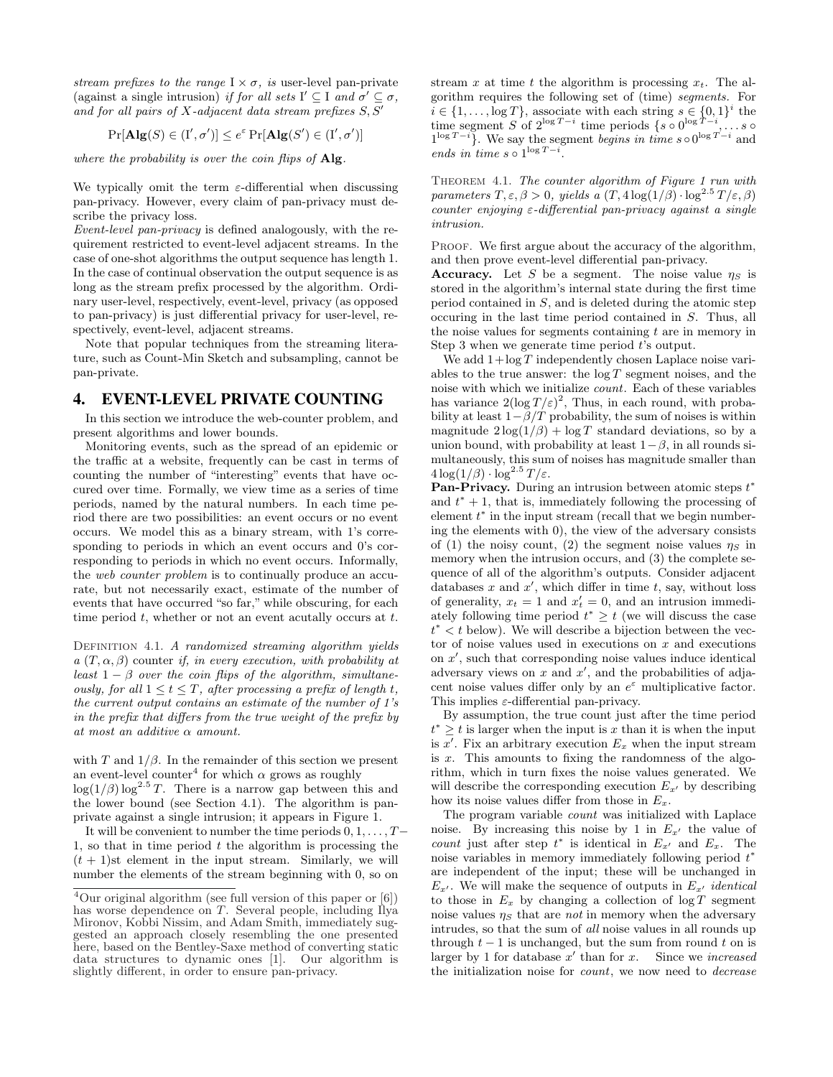stream prefixes to the range  $I \times \sigma$ , is user-level pan-private (against a single intrusion) if for all sets  $I' \subseteq I$  and  $\sigma' \subseteq \sigma$ , and for all pairs of  $X$ -adjacent data stream prefixes  $S, S'$ 

$$
\Pr[\mathbf{Alg}(S) \in (\mathbf{I}', \sigma')] \leq e^{\varepsilon} \Pr[\mathbf{Alg}(S') \in (\mathbf{I}', \sigma')]
$$

where the probability is over the coin flips of  $\mathbf{Alg}$ .

We typically omit the term  $\varepsilon$ -differential when discussing pan-privacy. However, every claim of pan-privacy must describe the privacy loss.

Event-level pan-privacy is defined analogously, with the requirement restricted to event-level adjacent streams. In the case of one-shot algorithms the output sequence has length 1. In the case of continual observation the output sequence is as long as the stream prefix processed by the algorithm. Ordinary user-level, respectively, event-level, privacy (as opposed to pan-privacy) is just differential privacy for user-level, respectively, event-level, adjacent streams.

Note that popular techniques from the streaming literature, such as Count-Min Sketch and subsampling, cannot be pan-private.

#### 4. EVENT-LEVEL PRIVATE COUNTING

In this section we introduce the web-counter problem, and present algorithms and lower bounds.

Monitoring events, such as the spread of an epidemic or the traffic at a website, frequently can be cast in terms of counting the number of "interesting" events that have occured over time. Formally, we view time as a series of time periods, named by the natural numbers. In each time period there are two possibilities: an event occurs or no event occurs. We model this as a binary stream, with 1's corresponding to periods in which an event occurs and 0's corresponding to periods in which no event occurs. Informally, the web counter problem is to continually produce an accurate, but not necessarily exact, estimate of the number of events that have occurred "so far," while obscuring, for each time period  $t$ , whether or not an event acutally occurs at  $t$ .

DEFINITION 4.1. A randomized streaming algorithm yields  $a(T, \alpha, \beta)$  counter if, in every execution, with probability at least  $1 - \beta$  over the coin flips of the algorithm, simultaneously, for all  $1 \le t \le T$ , after processing a prefix of length t, the current output contains an estimate of the number of 1's in the prefix that differs from the true weight of the prefix by at most an additive  $\alpha$  amount.

with T and  $1/\beta$ . In the remainder of this section we present an event-level counter<sup>4</sup> for which  $\alpha$  grows as roughly  $\log(1/\beta) \log^{2.5} T$ . There is a narrow gap between this and the lower bound (see Section 4.1). The algorithm is panprivate against a single intrusion; it appears in Figure 1.

It will be convenient to number the time periods  $0, 1, \ldots, T-$ 1, so that in time period  $t$  the algorithm is processing the  $(t + 1)$ st element in the input stream. Similarly, we will number the elements of the stream beginning with 0, so on

stream x at time t the algorithm is processing  $x_t$ . The algorithm requires the following set of (time) segments. For  $i \in \{1, \ldots, \log T\}$ , associate with each string  $s \in \{0, 1\}^i$  the time segment S of  $2^{\log T - i}$  time periods  $\{s \circ 0^{\log \tilde{T} - i}, \ldots s \circ 0\}$  $1^{\log T - i}$ . We say the segment *begins in time s* ∘  $0^{\log T - i}$  and ends in time  $s \circ 1^{\log T - i}$ .

THEOREM 4.1. The counter algorithm of Figure 1 run with parameters  $T, \varepsilon, \beta > 0$ , yields a  $(T, 4 \log(1/\beta) \cdot \log^{2.5} T/\varepsilon, \beta)$ counter enjoying  $\varepsilon$ -differential pan-privacy against a single intrusion.

PROOF. We first argue about the accuracy of the algorithm, and then prove event-level differential pan-privacy.

**Accuracy.** Let S be a segment. The noise value  $\eta_S$  is stored in the algorithm's internal state during the first time period contained in  $S$ , and is deleted during the atomic step occuring in the last time period contained in S. Thus, all the noise values for segments containing  $t$  are in memory in Step 3 when we generate time period  $t$ 's output.

We add  $1 + \log T$  independently chosen Laplace noise variables to the true answer: the  $log T$  segment noises, and the noise with which we initialize count. Each of these variables has variance  $2(\log T/\varepsilon)^2$ , Thus, in each round, with probability at least  $1-\beta/T$  probability, the sum of noises is within magnitude  $2\log(1/\beta) + \log T$  standard deviations, so by a union bound, with probability at least  $1-\beta$ , in all rounds simultaneously, this sum of noises has magnitude smaller than  $4\log(1/\beta)\cdot\log^{2.5}T/\varepsilon$ .

**Pan-Privacy.** During an intrusion between atomic steps  $t^*$ and  $t^* + 1$ , that is, immediately following the processing of element  $t^*$  in the input stream (recall that we begin numbering the elements with 0), the view of the adversary consists of (1) the noisy count, (2) the segment noise values  $\eta_s$  in memory when the intrusion occurs, and (3) the complete sequence of all of the algorithm's outputs. Consider adjacent databases  $x$  and  $x'$ , which differ in time  $t$ , say, without loss of generality,  $x_t = 1$  and  $x'_t = 0$ , and an intrusion immediately following time period  $t^* \geq t$  (we will discuss the case  $t^* < t$  below). We will describe a bijection between the vector of noise values used in executions on  $x$  and executions on  $x'$ , such that corresponding noise values induce identical adversary views on  $x$  and  $x'$ , and the probabilities of adjacent noise values differ only by an  $e^{\varepsilon}$  multiplicative factor. This implies  $\varepsilon$ -differential pan-privacy.

By assumption, the true count just after the time period  $t^* \geq t$  is larger when the input is x than it is when the input is  $x'$ . Fix an arbitrary execution  $E_x$  when the input stream is  $x$ . This amounts to fixing the randomness of the algorithm, which in turn fixes the noise values generated. We will describe the corresponding execution  $E_{x'}$  by describing how its noise values differ from those in  $E_x$ .

The program variable count was initialized with Laplace noise. By increasing this noise by 1 in  $E_{x}$  the value of count just after step  $t^*$  is identical in  $E_{x'}$  and  $E_x$ . The noise variables in memory immediately following period  $t^*$ are independent of the input; these will be unchanged in  $E_{x'}$ . We will make the sequence of outputs in  $E_{x'}$  *identical* to those in  $E_x$  by changing a collection of  $\log T$  segment noise values  $\eta_s$  that are *not* in memory when the adversary intrudes, so that the sum of all noise values in all rounds up through  $t - 1$  is unchanged, but the sum from round t on is larger by 1 for database  $x'$  than for x. Since we increased the initialization noise for count, we now need to decrease

 $4$ Our original algorithm (see full version of this paper or [6]) has worse dependence on T. Several people, including Ilya Mironov, Kobbi Nissim, and Adam Smith, immediately suggested an approach closely resembling the one presented here, based on the Bentley-Saxe method of converting static data structures to dynamic ones [1]. Our algorithm is slightly different, in order to ensure pan-privacy.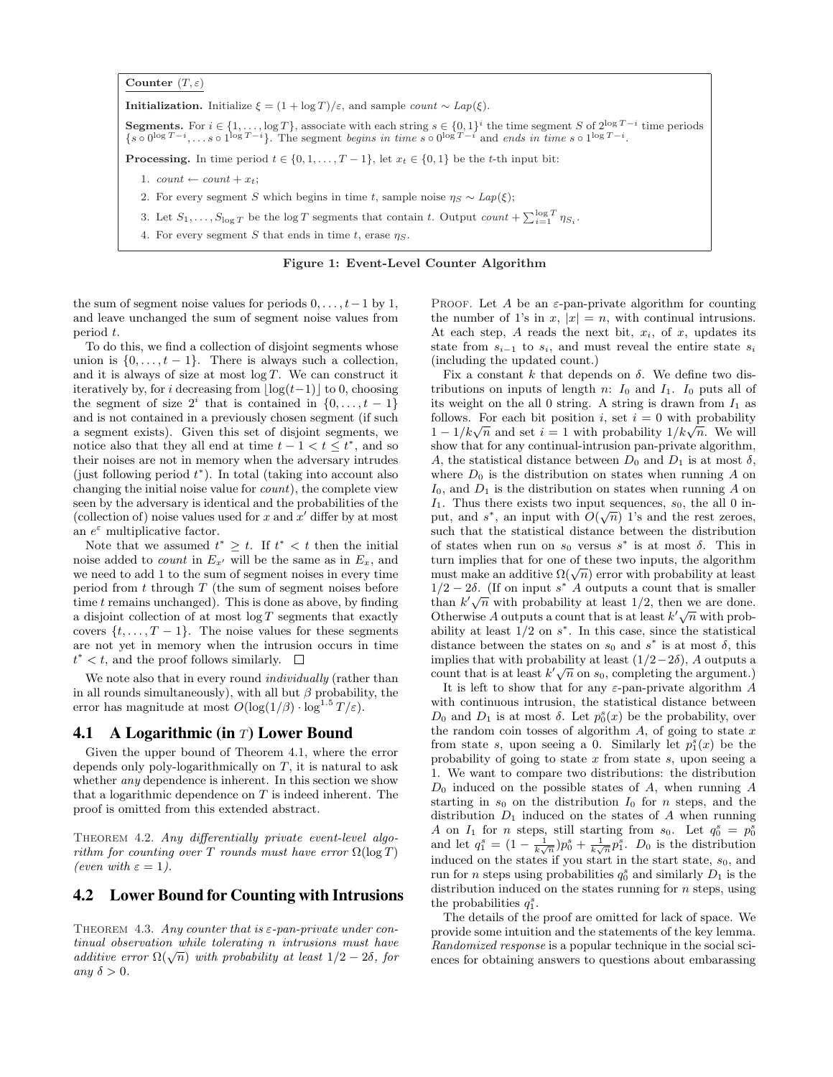Counter  $(T, \varepsilon)$ 

**Initialization.** Initialize  $\xi = (1 + \log T)/\varepsilon$ , and sample *count* ∼ *Lap*( $\xi$ ).

**Segments.** For  $i \in \{1, \ldots, \log T\}$ , associate with each string  $s \in \{0, 1\}^i$  the time segment S of  $2^{\log T - i}$  time periods  $\{s \circ 0^{\log T - i}, \ldots s \circ 1^{\log T - i}\}\$ . The segment begins in time s  $\circ 0^{\log T - i}$  and ends in time s  $\circ 1^{\log T - i}$ .

**Processing.** In time period  $t \in \{0, 1, \ldots, T-1\}$ , let  $x_t \in \{0, 1\}$  be the t-th input bit:

- 1.  $count \leftarrow count + x_t;$
- 2. For every segment S which begins in time t, sample noise  $\eta_S \sim Lap(\xi)$ ;
- 3. Let  $S_1, \ldots, S_{\log T}$  be the  $\log T$  segments that contain t. Output  $count + \sum_{i=1}^{\log T} \eta_{S_i}$ .
- 4. For every segment S that ends in time t, erase  $\eta_s$ .

#### Figure 1: Event-Level Counter Algorithm

the sum of segment noise values for periods  $0, \ldots, t-1$  by 1, and leave unchanged the sum of segment noise values from period t.

To do this, we find a collection of disjoint segments whose union is  $\{0, \ldots, t-1\}$ . There is always such a collection, and it is always of size at most  $log T$ . We can construct it iteratively by, for *i* decreasing from  $\lfloor \log(t-1) \rfloor$  to 0, choosing the segment of size  $2^i$  that is contained in  $\{0, \ldots, t-1\}$ and is not contained in a previously chosen segment (if such a segment exists). Given this set of disjoint segments, we notice also that they all end at time  $t - 1 < t \leq t^*$ , and so their noises are not in memory when the adversary intrudes (just following period  $t^*$ ). In total (taking into account also changing the initial noise value for count), the complete view seen by the adversary is identical and the probabilities of the (collection of) noise values used for x and  $x'$  differ by at most an  $e^{\varepsilon}$  multiplicative factor.

Note that we assumed  $t^* \geq t$ . If  $t^* < t$  then the initial noise added to *count* in  $E_{x'}$  will be the same as in  $E_x$ , and we need to add 1 to the sum of segment noises in every time period from  $t$  through  $T$  (the sum of segment noises before time  $t$  remains unchanged). This is done as above, by finding a disjoint collection of at most  $\log T$  segments that exactly covers  $\{t, \ldots, T-1\}$ . The noise values for these segments are not yet in memory when the intrusion occurs in time  $t^* < t$ , and the proof follows similarly.

We note also that in every round *individually* (rather than in all rounds simultaneously), with all but  $\beta$  probability, the error has magnitude at most  $O(\log(1/\beta) \cdot \log^{1.5} T/\varepsilon)$ .

#### 4.1 A Logarithmic (in  $T$ ) Lower Bound

Given the upper bound of Theorem 4.1, where the error depends only poly-logarithmically on  $T$ , it is natural to ask whether *any* dependence is inherent. In this section we show that a logarithmic dependence on  $T$  is indeed inherent. The proof is omitted from this extended abstract.

THEOREM 4.2. Any differentially private event-level algorithm for counting over T rounds must have error  $\Omega(\log T)$ (even with  $\varepsilon = 1$ ).

# 4.2 Lower Bound for Counting with Intrusions

THEOREM 4.3. Any counter that is  $\varepsilon$ -pan-private under continual observation while tolerating n intrusions must have  $\alpha$  and the eventual whole total differential matrices and the extending at least  $1/2 - 2\delta$ , for any  $\delta > 0$ .

PROOF. Let A be an  $\varepsilon$ -pan-private algorithm for counting the number of 1's in  $x, |x| = n$ , with continual intrusions. At each step, A reads the next bit,  $x_i$ , of x, updates its state from  $s_{i-1}$  to  $s_i$ , and must reveal the entire state  $s_i$ (including the updated count.)

Fix a constant k that depends on  $\delta$ . We define two distributions on inputs of length n:  $I_0$  and  $I_1$ .  $I_0$  puts all of its weight on the all 0 string. A string is drawn from  $I_1$  as follows. For each bit position i, set  $i = 0$  with probability 1 –  $1/k\sqrt{n}$  and set  $i = 1$  with probability  $1/k\sqrt{n}$ . We will show that for any continual-intrusion pan-private algorithm, A, the statistical distance between  $D_0$  and  $D_1$  is at most  $\delta$ , where  $D_0$  is the distribution on states when running A on  $I_0$ , and  $D_1$  is the distribution on states when running A on  $I_1$ . Thus there exists two input sequences,  $s_0$ , the all 0 input, and  $s^*$ , an input with  $O(\sqrt{n})$  1's and the rest zeroes, such that the statistical distance between the distribution of states when run on  $s_0$  versus  $s^*$  is at most  $\delta$ . This in turn implies that for one of these two inputs, the algorithm turn implies that for one of these two imputs, the algorithm<br>must make an additive  $\Omega(\sqrt{n})$  error with probability at least  $1/2 - 2\delta$ . (If on input s<sup>\*</sup> A outputs a count that is smaller than  $k'\sqrt{n}$  with probability at least 1/2, then we are done. Then  $\kappa \sqrt{n}$  with probability at least  $1/2$ , then we are done.<br>Otherwise A outputs a count that is at least  $k' \sqrt{n}$  with probability at least  $1/2$  on  $s^*$ . In this case, since the statistical distance between the states on  $s_0$  and  $s^*$  is at most  $\delta$ , this implies that with probability at least  $(1/2-2\delta)$ , A outputs a miplies that with probability at least  $(1/2-20)$ , A outputs a<br>count that is at least  $k'\sqrt{n}$  on  $s_0$ , completing the argument.)

It is left to show that for any  $\varepsilon$ -pan-private algorithm A with continuous intrusion, the statistical distance between  $D_0$  and  $D_1$  is at most  $\delta$ . Let  $p_0^s(x)$  be the probability, over the random coin tosses of algorithm  $A$ , of going to state  $x$ from state s, upon seeing a 0. Similarly let  $p_1^s(x)$  be the probability of going to state  $x$  from state  $s$ , upon seeing a 1. We want to compare two distributions: the distribution  $D_0$  induced on the possible states of A, when running A starting in  $s_0$  on the distribution  $I_0$  for n steps, and the distribution  $D_1$  induced on the states of A when running A on  $I_1$  for *n* steps, still starting from  $s_0$ . Let  $q_0^s = p_0^s$  and let  $q_1^s = (1 - \frac{1}{k\sqrt{n}})p_0^s + \frac{1}{k\sqrt{n}}p_1^s$ . D<sub>0</sub> is the distribution induced on the states if you start in the start state,  $s_0$ , and run for *n* steps using probabilities  $q_0^s$  and similarly  $D_1$  is the distribution induced on the states running for n steps, using the probabilities  $q_1^s$ .

The details of the proof are omitted for lack of space. We provide some intuition and the statements of the key lemma. Randomized response is a popular technique in the social sciences for obtaining answers to questions about embarassing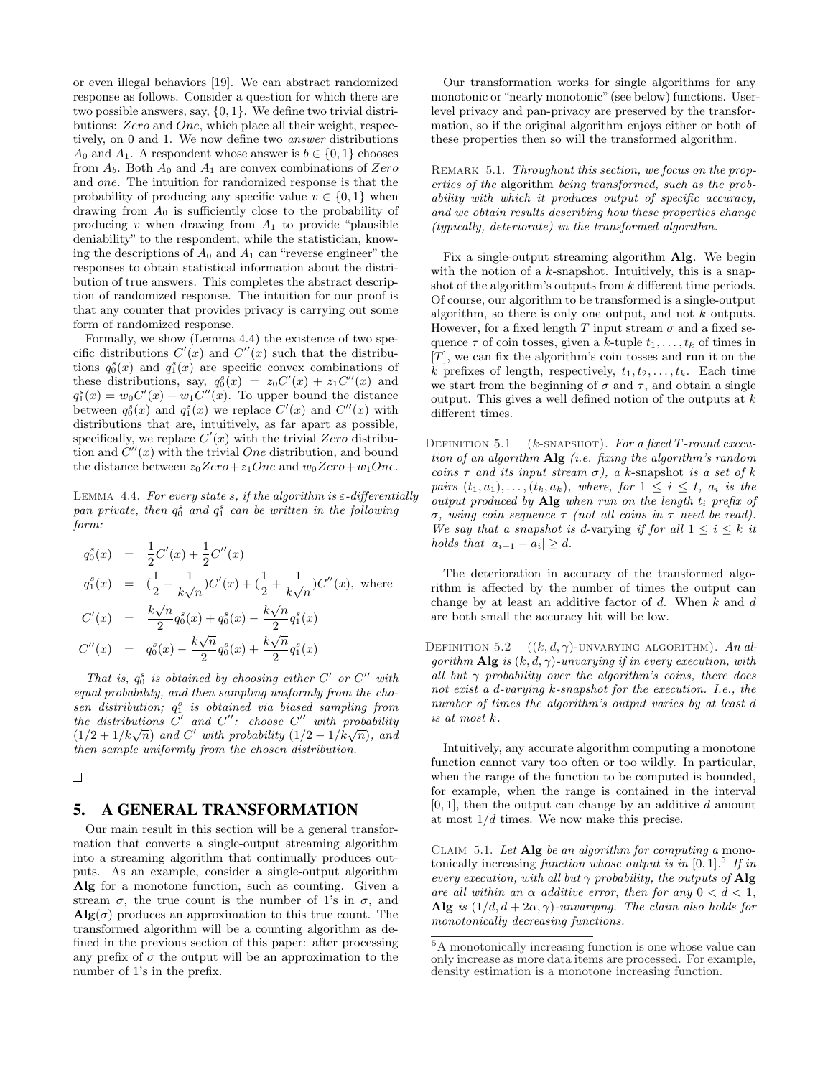or even illegal behaviors [19]. We can abstract randomized response as follows. Consider a question for which there are two possible answers, say, {0, 1}. We define two trivial distributions: Zero and One, which place all their weight, respectively, on 0 and 1. We now define two answer distributions  $A_0$  and  $A_1$ . A respondent whose answer is  $b \in \{0,1\}$  chooses from  $A_b$ . Both  $A_0$  and  $A_1$  are convex combinations of Zero and one. The intuition for randomized response is that the probability of producing any specific value  $v \in \{0, 1\}$  when drawing from  $A_0$  is sufficiently close to the probability of producing  $v$  when drawing from  $A_1$  to provide "plausible deniability" to the respondent, while the statistician, knowing the descriptions of  $A_0$  and  $A_1$  can "reverse engineer" the responses to obtain statistical information about the distribution of true answers. This completes the abstract description of randomized response. The intuition for our proof is that any counter that provides privacy is carrying out some form of randomized response.

Formally, we show (Lemma 4.4) the existence of two specific distributions  $C'(x)$  and  $C''(x)$  such that the distributions  $q_0^s(x)$  and  $q_1^s(x)$  are specific convex combinations of these distributions, say,  $q_0^s(x) = z_0 C'(x) + z_1 C''(x)$  and  $q_1^s(x) = w_0 C'(x) + w_1 C''(x)$ . To upper bound the distance between  $q_0^s(x)$  and  $q_1^s(x)$  we replace  $C'(x)$  and  $C''(x)$  with distributions that are, intuitively, as far apart as possible, specifically, we replace  $C'(x)$  with the trivial Zero distribution and  $C''(x)$  with the trivial One distribution, and bound the distance between  $z_0Zero + z_1One$  and  $w_0Zero + w_1One$ .

LEMMA 4.4. For every state s, if the algorithm is  $\varepsilon$ -differentially pan private, then  $q_0^s$  and  $q_1^s$  can be written in the following form:

$$
q_0^s(x) = \frac{1}{2}C'(x) + \frac{1}{2}C''(x)
$$
  
\n
$$
q_1^s(x) = (\frac{1}{2} - \frac{1}{k\sqrt{n}})C'(x) + (\frac{1}{2} + \frac{1}{k\sqrt{n}})C''(x), \text{ where}
$$
  
\n
$$
C'(x) = \frac{k\sqrt{n}}{2}q_0^s(x) + q_0^s(x) - \frac{k\sqrt{n}}{2}q_1^s(x)
$$
  
\n
$$
C''(x) = q_0^s(x) - \frac{k\sqrt{n}}{2}q_0^s(x) + \frac{k\sqrt{n}}{2}q_1^s(x)
$$

That is,  $q_0^s$  is obtained by choosing either  $C'$  or  $C''$  with equal probability, and then sampling uniformly from the cho $sen\ distribution$ ;  $q_1^s$  is obtained via biased sampling from the distributions  $C'$  and  $C''$ : choose  $C''$  with probability the aistributions C and C: choose C with probability  $(1/2 + 1/k\sqrt{n})$ , and C' with probability  $(1/2 - 1/k\sqrt{n})$ , and then sample uniformly from the chosen distribution.

 $\Box$ 

#### 5. A GENERAL TRANSFORMATION

Our main result in this section will be a general transformation that converts a single-output streaming algorithm into a streaming algorithm that continually produces outputs. As an example, consider a single-output algorithm Alg for a monotone function, such as counting. Given a stream  $\sigma$ , the true count is the number of 1's in  $\sigma$ , and  $\mathbf{Alg}(\sigma)$  produces an approximation to this true count. The transformed algorithm will be a counting algorithm as defined in the previous section of this paper: after processing any prefix of  $\sigma$  the output will be an approximation to the number of 1's in the prefix.

Our transformation works for single algorithms for any monotonic or "nearly monotonic" (see below) functions. Userlevel privacy and pan-privacy are preserved by the transformation, so if the original algorithm enjoys either or both of these properties then so will the transformed algorithm.

REMARK 5.1. Throughout this section, we focus on the properties of the algorithm being transformed, such as the probability with which it produces output of specific accuracy, and we obtain results describing how these properties change (typically, deteriorate) in the transformed algorithm.

Fix a single-output streaming algorithm Alg. We begin with the notion of a  $k$ -snapshot. Intuitively, this is a snapshot of the algorithm's outputs from k different time periods. Of course, our algorithm to be transformed is a single-output algorithm, so there is only one output, and not k outputs. However, for a fixed length T input stream  $\sigma$  and a fixed sequence  $\tau$  of coin tosses, given a k-tuple  $t_1, \ldots, t_k$  of times in  $[T]$ , we can fix the algorithm's coin tosses and run it on the k prefixes of length, respectively,  $t_1, t_2, \ldots, t_k$ . Each time we start from the beginning of  $\sigma$  and  $\tau$ , and obtain a single output. This gives a well defined notion of the outputs at  $k$ different times.

DEFINITION 5.1 ( $k$ -SNAPSHOT). For a fixed T-round execution of an algorithm  $\mathbf{Alg}$  (i.e. fixing the algorithm's random coins  $\tau$  and its input stream  $\sigma$ ), a k-snapshot is a set of k pairs  $(t_1, a_1), \ldots, (t_k, a_k)$ , where, for  $1 \leq i \leq t$ ,  $a_i$  is the output produced by  $\mathbf{Alg}$  when run on the length  $t_i$  prefix of σ, using coin sequence τ (not all coins in τ need be read). We say that a snapshot is d-varying if for all  $1 \leq i \leq k$  it holds that  $|a_{i+1} - a_i| \geq d$ .

The deterioration in accuracy of the transformed algorithm is affected by the number of times the output can change by at least an additive factor of  $d$ . When  $k$  and  $d$ are both small the accuracy hit will be low.

DEFINITION 5.2  $((k, d, \gamma)$ -UNVARYING ALGORITHM). An algorithm Alg is  $(k, d, \gamma)$ -unvarying if in every execution, with all but  $\gamma$  probability over the algorithm's coins, there does not exist a d-varying k-snapshot for the execution. I.e., the number of times the algorithm's output varies by at least d is at most k.

Intuitively, any accurate algorithm computing a monotone function cannot vary too often or too wildly. In particular, when the range of the function to be computed is bounded, for example, when the range is contained in the interval  $[0, 1]$ , then the output can change by an additive d amount at most 1/d times. We now make this precise.

CLAIM 5.1. Let  $\mathbf{Alg}$  be an algorithm for computing a monotonically increasing function whose output is in  $[0, 1]$ .<sup>5</sup> If in every execution, with all but  $\gamma$  probability, the outputs of Alg are all within an  $\alpha$  additive error, then for any  $0 < d < 1$ , Alg is  $(1/d, d + 2\alpha, \gamma)$ -unvarying. The claim also holds for monotonically decreasing functions.

<sup>5</sup>A monotonically increasing function is one whose value can only increase as more data items are processed. For example, density estimation is a monotone increasing function.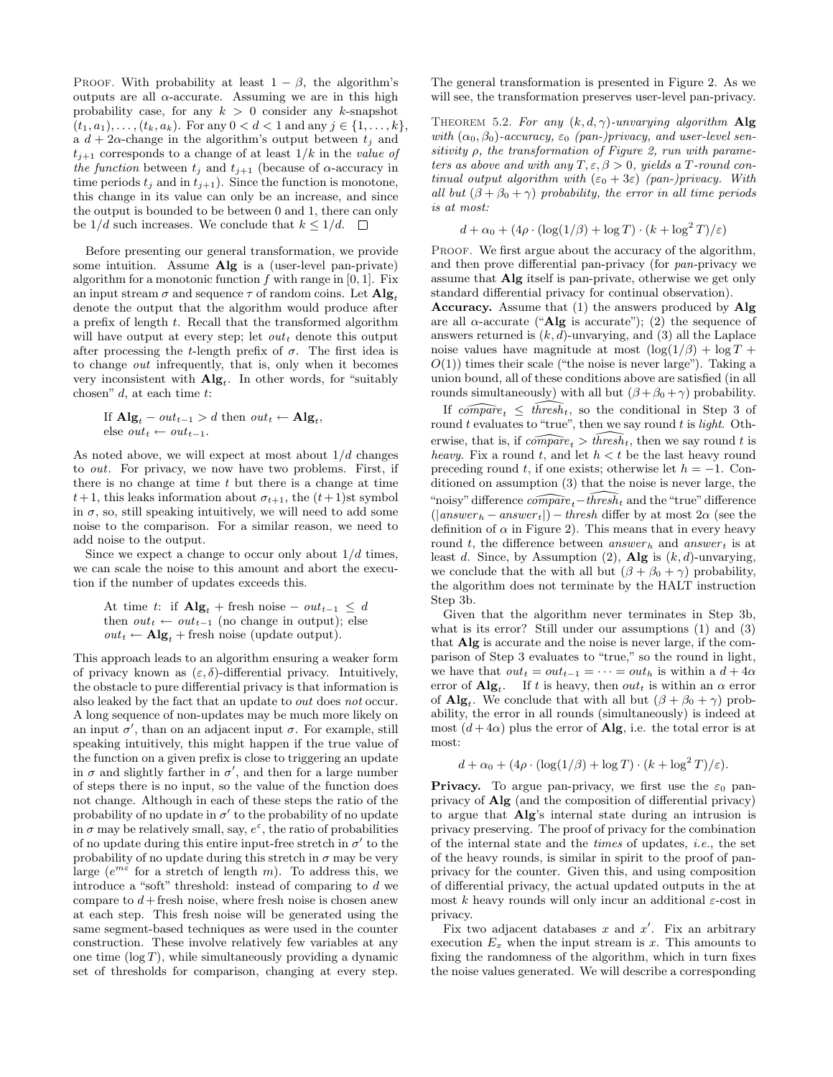PROOF. With probability at least  $1 - \beta$ , the algorithm's outputs are all  $\alpha$ -accurate. Assuming we are in this high probability case, for any  $k > 0$  consider any k-snapshot  $(t_1, a_1), \ldots, (t_k, a_k)$ . For any  $0 < d < 1$  and any  $j \in \{1, \ldots, k\}$ , a  $d + 2\alpha$ -change in the algorithm's output between  $t_i$  and  $t_{j+1}$  corresponds to a change of at least  $1/k$  in the value of the function between  $t_j$  and  $t_{j+1}$  (because of  $\alpha$ -accuracy in time periods  $t_i$  and in  $t_{i+1}$ ). Since the function is monotone, this change in its value can only be an increase, and since the output is bounded to be between 0 and 1, there can only be  $1/d$  such increases. We conclude that  $k \leq 1/d$ .  $\Box$ 

Before presenting our general transformation, we provide some intuition. Assume Alg is a (user-level pan-private) algorithm for a monotonic function  $f$  with range in [0, 1]. Fix an input stream  $\sigma$  and sequence  $\tau$  of random coins. Let  $\mathbf{Alg}_t$ denote the output that the algorithm would produce after a prefix of length  $t$ . Recall that the transformed algorithm will have output at every step; let  $out_t$  denote this output after processing the t-length prefix of  $\sigma$ . The first idea is to change out infrequently, that is, only when it becomes very inconsistent with  $\mathbf{Alg}_t$ . In other words, for "suitably chosen"  $d$ , at each time  $t$ :

If  $\mathbf{Alg}_t - out_{t-1} > d$  then  $out_t \leftarrow \mathbf{Alg}_t$ , else  $out_t \leftarrow out_{t-1}$ .

As noted above, we will expect at most about  $1/d$  changes to out. For privacy, we now have two problems. First, if there is no change at time  $t$  but there is a change at time  $t+1$ , this leaks information about  $\sigma_{t+1}$ , the  $(t+1)$ st symbol in  $\sigma$ , so, still speaking intuitively, we will need to add some noise to the comparison. For a similar reason, we need to add noise to the output.

Since we expect a change to occur only about  $1/d$  times, we can scale the noise to this amount and abort the execution if the number of updates exceeds this.

At time t: if 
$$
\mathbf{Alg}_t
$$
 + fresh noise –  $out_{t-1} \leq d$   
then  $out_t \leftarrow out_{t-1}$  (no change in output); else  
 $out_t \leftarrow \mathbf{Alg}_t$  + fresh noise (update output).

This approach leads to an algorithm ensuring a weaker form of privacy known as  $(\varepsilon, \delta)$ -differential privacy. Intuitively, the obstacle to pure differential privacy is that information is also leaked by the fact that an update to out does not occur. A long sequence of non-updates may be much more likely on an input  $\sigma'$ , than on an adjacent input  $\sigma$ . For example, still speaking intuitively, this might happen if the true value of the function on a given prefix is close to triggering an update in  $\sigma$  and slightly farther in  $\sigma'$ , and then for a large number of steps there is no input, so the value of the function does not change. Although in each of these steps the ratio of the probability of no update in  $\sigma'$  to the probability of no update in  $\sigma$  may be relatively small, say,  $e^{\varepsilon}$ , the ratio of probabilities of no update during this entire input-free stretch in  $\sigma'$  to the probability of no update during this stretch in  $\sigma$  may be very large  $(e^{m\epsilon}$  for a stretch of length m). To address this, we introduce a "soft" threshold: instead of comparing to d we compare to  $d+$  fresh noise, where fresh noise is chosen anew at each step. This fresh noise will be generated using the same segment-based techniques as were used in the counter construction. These involve relatively few variables at any one time  $(\log T)$ , while simultaneously providing a dynamic set of thresholds for comparison, changing at every step. The general transformation is presented in Figure 2. As we will see, the transformation preserves user-level pan-privacy.

THEOREM 5.2. For any  $(k, d, \gamma)$ -unvarying algorithm Alg with  $(\alpha_0, \beta_0)$ -accuracy,  $\varepsilon_0$  (pan-)privacy, and user-level sensitivity  $\rho$ , the transformation of Figure 2, run with parameters as above and with any  $T, \varepsilon, \beta > 0$ , yields a T-round continual output algorithm with  $(\varepsilon_0 + 3\varepsilon)$  (pan-)privacy. With all but  $(\beta + \beta_0 + \gamma)$  probability, the error in all time periods is at most:

$$
d + \alpha_0 + (4\rho \cdot (\log(1/\beta) + \log T) \cdot (k + \log^2 T)/\varepsilon)
$$

PROOF. We first argue about the accuracy of the algorithm, and then prove differential pan-privacy (for pan-privacy we assume that Alg itself is pan-private, otherwise we get only standard differential privacy for continual observation).

Accuracy. Assume that (1) the answers produced by Alg are all  $\alpha$ -accurate ("Alg is accurate"); (2) the sequence of answers returned is  $(k, d)$ -unvarying, and  $(3)$  all the Laplace noise values have magnitude at most  $(\log(1/\beta) + \log T +$  $O(1)$ ) times their scale ("the noise is never large"). Taking a union bound, all of these conditions above are satisfied (in all rounds simultaneously) with all but  $(\beta + \beta_0 + \gamma)$  probability.

If  $\widehat{compare}_t \leq \widehat{thresh}_t$ , so the conditional in Step 3 of round  $t$  evaluates to "true", then we say round  $t$  is *light*. Otherwise, that is, if  $\widehat{compare}_t > \widehat{thresh}_t$ , then we say round t is heavy. Fix a round t, and let  $h < t$  be the last heavy round preceding round t, if one exists; otherwise let  $h = -1$ . Conditioned on assumption (3) that the noise is never large, the "noisy" difference  $\widehat{compare}_t-\widehat{thresh}_t$  and the "true" difference  $(|answer_h - answer_t|) - thresh$  differ by at most  $2\alpha$  (see the definition of  $\alpha$  in Figure 2). This means that in every heavy round t, the difference between answer<sub>h</sub> and answer<sub>t</sub> is at least d. Since, by Assumption (2), Alg is  $(k, d)$ -unvarying, we conclude that the with all but  $(\beta + \beta_0 + \gamma)$  probability, the algorithm does not terminate by the HALT instruction Step 3b.

Given that the algorithm never terminates in Step 3b, what is its error? Still under our assumptions (1) and (3) that Alg is accurate and the noise is never large, if the comparison of Step 3 evaluates to "true," so the round in light, we have that  $out_t = out_{t-1} = \cdots = out_h$  is within a  $d + 4\alpha$ error of  $\mathbf{Alg}_t$ . If t is heavy, then  $out_t$  is within an  $\alpha$  error of  $\mathbf{Alg}_t$ . We conclude that with all but  $(\beta + \beta_0 + \gamma)$  probability, the error in all rounds (simultaneously) is indeed at most  $(d+4\alpha)$  plus the error of **Alg**, i.e. the total error is at most:

$$
d + \alpha_0 + (4\rho \cdot (\log(1/\beta) + \log T) \cdot (k + \log^2 T)/\varepsilon).
$$

**Privacy.** To argue pan-privacy, we first use the  $\varepsilon_0$  panprivacy of Alg (and the composition of differential privacy) to argue that Alg's internal state during an intrusion is privacy preserving. The proof of privacy for the combination of the internal state and the *times* of updates, *i.e.*, the set of the heavy rounds, is similar in spirit to the proof of panprivacy for the counter. Given this, and using composition of differential privacy, the actual updated outputs in the at most k heavy rounds will only incur an additional  $\varepsilon$ -cost in privacy.

Fix two adjacent databases  $x$  and  $x'$ . Fix an arbitrary execution  $E_x$  when the input stream is x. This amounts to fixing the randomness of the algorithm, which in turn fixes the noise values generated. We will describe a corresponding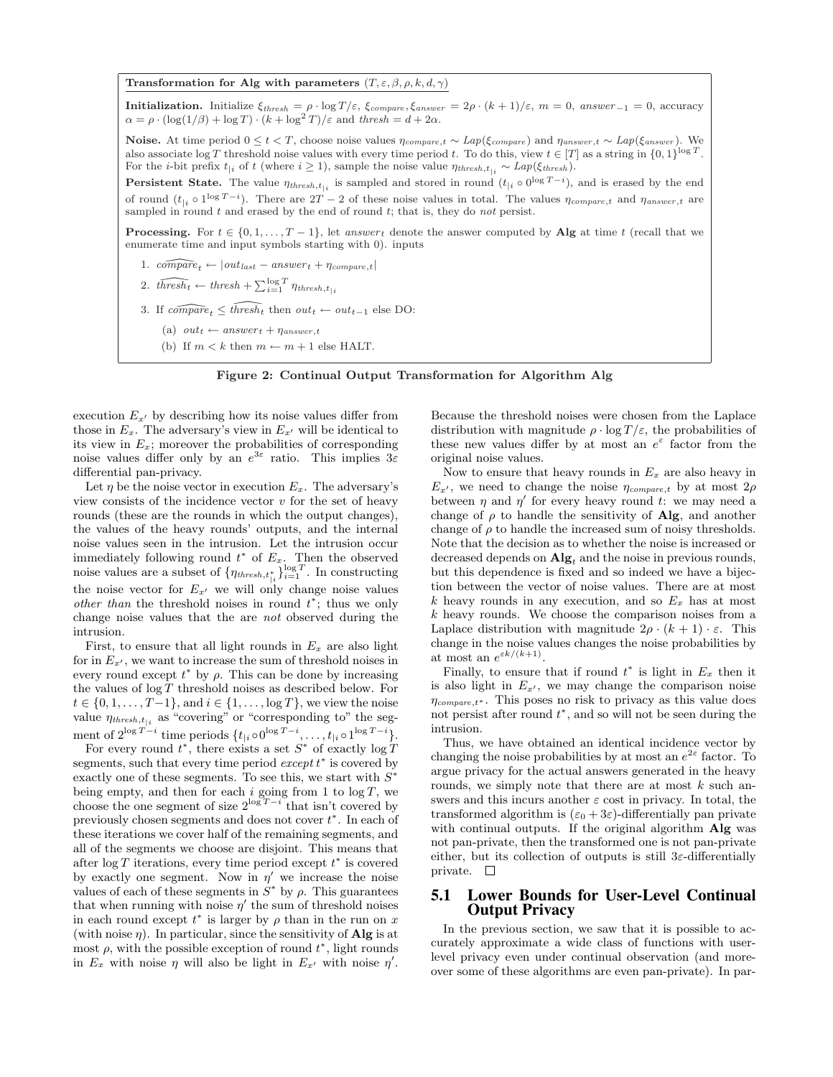Transformation for Alg with parameters  $(T, \varepsilon, \beta, \rho, k, d, \gamma)$ 

**Initialization.** Initialize  $\xi_{thresh} = \rho \cdot \log T / \varepsilon$ ,  $\xi_{compare}$ ,  $\xi_{answer} = 2\rho \cdot (k+1)/\varepsilon$ ,  $m = 0$ ,  $answer_{-1} = 0$ , accuracy  $\alpha = \rho \cdot (\log(1/\beta) + \log T) \cdot (k + \log^2 T)/\varepsilon$  and thresh  $= d + 2\alpha$ .

Noise. At time period  $0 \le t < T$ , choose noise values  $\eta_{compare, t} \sim Lap(\xi_{compare})$  and  $\eta_{answer, t} \sim Lap(\xi_{answer})$ . We also associate log T threshold noise values with every time period t. To do this, view  $t \in [T]$  as a string in  $\{0,1\}^{\log T}$ . For the *i*-bit prefix  $t_{|i}$  of t (where  $i \geq 1$ ), sample the noise value  $\eta_{thresh, t_{|i}} \sim Lap(\xi_{thresh})$ .

**Persistent State.** The value  $\eta_{thresh,t_{|i}}$  is sampled and stored in round  $(t_{|i} \circ 0^{\log T - i})$ , and is erased by the end of round  $(t_{i} \circ 1^{\log T-i})$ . There are  $2T-2$  of these noise values in total. The values  $\eta_{compare,t}$  and  $\eta_{answer,t}$  are sampled in round  $t$  and erased by the end of round  $t$ ; that is, they do not persist.

**Processing.** For  $t \in \{0, 1, \ldots, T-1\}$ , let answer t denote the answer computed by Alg at time t (recall that we enumerate time and input symbols starting with 0). inputs

- 1.  $\widehat{compare}_t \leftarrow |out_{last} answer_t + \eta_{compare,t}|$
- 2. thresh<sub>t</sub> ← thresh +  $\sum_{i=1}^{\log T} \eta_{thresh, t_{\vert i}}$
- 3. If  $\widehat{compare}_t \leq \widehat{thresh}_t$  then  $out_t \leftarrow out_{t-1}$  else DO:
	- (a)  $out_t \leftarrow answer_t + \eta_{answer,t}$
	- (b) If  $m < k$  then  $m \leftarrow m + 1$  else HALT.



execution  $E_{x'}$  by describing how its noise values differ from those in  $E_x$ . The adversary's view in  $E_{x'}$  will be identical to its view in  $E_x$ ; moreover the probabilities of corresponding noise values differ only by an  $e^{3\varepsilon}$  ratio. This implies  $3\varepsilon$ differential pan-privacy.

Let  $\eta$  be the noise vector in execution  $E_x$ . The adversary's view consists of the incidence vector  $v$  for the set of heavy rounds (these are the rounds in which the output changes), the values of the heavy rounds' outputs, and the internal noise values seen in the intrusion. Let the intrusion occur immediately following round  $t^*$  of  $E_x$ . Then the observed noise values are a subset of  $\{\eta_{thresh, t_{\lvert i}^*}\}_{i=1}^{\log T}$ . In constructing the noise vector for  $E_{x'}$  we will only change noise values *other than* the threshold noises in round  $t^*$ ; thus we only change noise values that the are not observed during the intrusion.

First, to ensure that all light rounds in  $E_x$  are also light for in  $E_{\tau}$ , we want to increase the sum of threshold noises in every round except  $t^*$  by  $\rho$ . This can be done by increasing the values of  $\log T$  threshold noises as described below. For  $t \in \{0, 1, \ldots, T-1\}$ , and  $i \in \{1, \ldots, \log T\}$ , we view the noise value  $\eta_{thresh, t_{\vert i}}$  as "covering" or "corresponding to" the segment of  $2^{\log T - i}$  time periods  $\{t_{|i} \circ 0^{\log T - i}, \dots, t_{|i} \circ 1^{\log T - i}\}.$ 

For every round  $t^*$ , there exists a set  $S^*$  of exactly  $\log T$ segments, such that every time period  $except t^*$  is covered by exactly one of these segments. To see this, we start with  $S^*$ being empty, and then for each  $i$  going from 1 to  $\log T$ , we choose the one segment of size  $2^{\log T - i}$  that isn't covered by previously chosen segments and does not cover  $t^*$ . In each of these iterations we cover half of the remaining segments, and all of the segments we choose are disjoint. This means that after  $\log T$  iterations, every time period except  $t^*$  is covered by exactly one segment. Now in  $\eta'$  we increase the noise values of each of these segments in  $S^*$  by  $\rho$ . This guarantees that when running with noise  $\eta'$  the sum of threshold noises in each round except  $t^*$  is larger by  $\rho$  than in the run on x (with noise  $\eta$ ). In particular, since the sensitivity of **Alg** is at most  $\rho$ , with the possible exception of round  $t^*$ , light rounds in  $E_x$  with noise  $\eta$  will also be light in  $E_{x'}$  with noise  $\eta'$ .

Because the threshold noises were chosen from the Laplace distribution with magnitude  $\rho \cdot \log T / \varepsilon$ , the probabilities of these new values differ by at most an  $e^{\varepsilon}$  factor from the original noise values.

Now to ensure that heavy rounds in  $E_x$  are also heavy in  $E_{x'}$ , we need to change the noise  $\eta_{compare,t}$  by at most  $2\rho$ between  $\eta$  and  $\eta'$  for every heavy round t: we may need a change of  $\rho$  to handle the sensitivity of **Alg**, and another change of  $\rho$  to handle the increased sum of noisy thresholds. Note that the decision as to whether the noise is increased or decreased depends on  $\mathbf{Alg}_t$  and the noise in previous rounds, but this dependence is fixed and so indeed we have a bijection between the vector of noise values. There are at most k heavy rounds in any execution, and so  $E_x$  has at most  $k$  heavy rounds. We choose the comparison noises from a Laplace distribution with magnitude  $2\rho \cdot (k+1) \cdot \varepsilon$ . This change in the noise values changes the noise probabilities by at most an  $e^{\varepsilon k/(k+1)}$ .

Finally, to ensure that if round  $t^*$  is light in  $E_x$  then it is also light in  $E_{x'}$ , we may change the comparison noise  $\eta_{compare, t^*}$ . This poses no risk to privacy as this value does not persist after round  $t^*$ , and so will not be seen during the intrusion.

Thus, we have obtained an identical incidence vector by changing the noise probabilities by at most an  $e^{2\varepsilon}$  factor. To argue privacy for the actual answers generated in the heavy rounds, we simply note that there are at most  $k$  such answers and this incurs another  $\varepsilon$  cost in privacy. In total, the transformed algorithm is  $(\varepsilon_0 + 3\varepsilon)$ -differentially pan private with continual outputs. If the original algorithm Alg was not pan-private, then the transformed one is not pan-private either, but its collection of outputs is still  $3\varepsilon$ -differentially private.  $\Box$ 

#### 5.1 Lower Bounds for User-Level Continual Output Privacy

In the previous section, we saw that it is possible to accurately approximate a wide class of functions with userlevel privacy even under continual observation (and moreover some of these algorithms are even pan-private). In par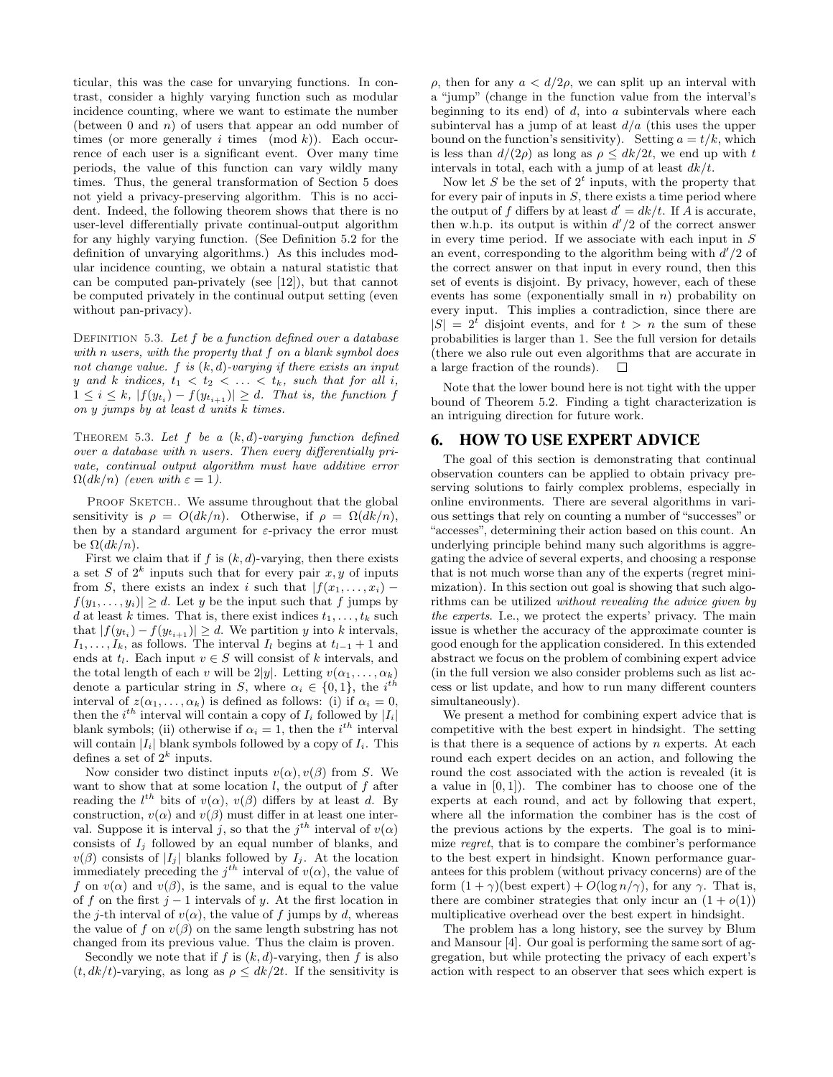ticular, this was the case for unvarying functions. In contrast, consider a highly varying function such as modular incidence counting, where we want to estimate the number (between  $0$  and  $n$ ) of users that appear an odd number of times (or more generally i times  $(mod k)$ ). Each occurrence of each user is a significant event. Over many time periods, the value of this function can vary wildly many times. Thus, the general transformation of Section 5 does not yield a privacy-preserving algorithm. This is no accident. Indeed, the following theorem shows that there is no user-level differentially private continual-output algorithm for any highly varying function. (See Definition 5.2 for the definition of unvarying algorithms.) As this includes modular incidence counting, we obtain a natural statistic that can be computed pan-privately (see [12]), but that cannot be computed privately in the continual output setting (even without pan-privacy).

DEFINITION 5.3. Let  $f$  be a function defined over a database with n users, with the property that f on a blank symbol does not change value.  $f$  is  $(k, d)$ -varying if there exists an input y and k indices,  $t_1 < t_2 < \ldots < t_k$ , such that for all i,  $1 \leq i \leq k$ ,  $|f(y_{t_i}) - f(y_{t_{i+1}})| \geq d$ . That is, the function f on y jumps by at least d units k times.

THEOREM 5.3. Let  $f$  be a  $(k, d)$ -varying function defined over a database with n users. Then every differentially private, continual output algorithm must have additive error  $\Omega(dk/n)$  (even with  $\varepsilon = 1$ ).

PROOF SKETCH.. We assume throughout that the global sensitivity is  $\rho = O(dk/n)$ . Otherwise, if  $\rho = \Omega(dk/n)$ , then by a standard argument for  $\varepsilon$ -privacy the error must be  $\Omega(dk/n)$ .

First we claim that if f is  $(k, d)$ -varying, then there exists a set S of  $2^k$  inputs such that for every pair  $x, y$  of inputs from S, there exists an index i such that  $|f(x_1, \ldots, x_i)| |f(y_1, \ldots, y_i)| \geq d$ . Let y be the input such that f jumps by d at least k times. That is, there exist indices  $t_1, \ldots, t_k$  such that  $|f(y_{t_i}) - f(y_{t_{i+1}})| \ge d$ . We partition y into k intervals,  $I_1, \ldots, I_k$ , as follows. The interval  $I_l$  begins at  $t_{l-1} + 1$  and ends at  $t_l$ . Each input  $v \in S$  will consist of k intervals, and the total length of each v will be 2|y|. Letting  $v(\alpha_1, \ldots, \alpha_k)$ denote a particular string in S, where  $\alpha_i \in \{0,1\}$ , the i<sup>th</sup> interval of  $z(\alpha_1, \ldots, \alpha_k)$  is defined as follows: (i) if  $\alpha_i = 0$ , then the  $i^{th}$  interval will contain a copy of  $I_i$  followed by  $|I_i|$ blank symbols; (ii) otherwise if  $\alpha_i = 1$ , then the  $i^{th}$  interval will contain  $|I_i|$  blank symbols followed by a copy of  $I_i$ . This defines a set of  $2^k$  inputs.

Now consider two distinct inputs  $v(\alpha)$ ,  $v(\beta)$  from S. We want to show that at some location  $l$ , the output of  $f$  after reading the  $l^{th}$  bits of  $v(\alpha)$ ,  $v(\beta)$  differs by at least d. By construction,  $v(\alpha)$  and  $v(\beta)$  must differ in at least one interval. Suppose it is interval j, so that the j<sup>th</sup> interval of  $v(\alpha)$ consists of  $I_i$  followed by an equal number of blanks, and  $v(\beta)$  consists of  $|I_j|$  blanks followed by  $I_j$ . At the location immediately preceding the  $j^{th}$  interval of  $v(\alpha)$ , the value of f on  $v(\alpha)$  and  $v(\beta)$ , is the same, and is equal to the value of f on the first j − 1 intervals of y. At the first location in the j-th interval of  $v(\alpha)$ , the value of f jumps by d, whereas the value of f on  $v(\beta)$  on the same length substring has not changed from its previous value. Thus the claim is proven.

Secondly we note that if f is  $(k, d)$ -varying, then f is also  $(t, dk/t)$ -varying, as long as  $\rho \leq dk/2t$ . If the sensitivity is  $\rho$ , then for any  $a < d/2\rho$ , we can split up an interval with a "jump" (change in the function value from the interval's beginning to its end) of  $d$ , into  $a$  subintervals where each subinterval has a jump of at least  $d/a$  (this uses the upper bound on the function's sensitivity). Setting  $a = t/k$ , which is less than  $d/(2\rho)$  as long as  $\rho \leq dk/2t$ , we end up with t intervals in total, each with a jump of at least  $dk/t$ .

Now let S be the set of  $2<sup>t</sup>$  inputs, with the property that for every pair of inputs in  $S$ , there exists a time period where the output of f differs by at least  $d' = dk/t$ . If A is accurate, then w.h.p. its output is within  $d'/2$  of the correct answer in every time period. If we associate with each input in  $S$ an event, corresponding to the algorithm being with  $d'/2$  of the correct answer on that input in every round, then this set of events is disjoint. By privacy, however, each of these events has some (exponentially small in  $n$ ) probability on every input. This implies a contradiction, since there are  $|S| = 2<sup>t</sup>$  disjoint events, and for  $t > n$  the sum of these probabilities is larger than 1. See the full version for details (there we also rule out even algorithms that are accurate in a large fraction of the rounds). - 11

Note that the lower bound here is not tight with the upper bound of Theorem 5.2. Finding a tight characterization is an intriguing direction for future work.

#### 6. HOW TO USE EXPERT ADVICE

The goal of this section is demonstrating that continual observation counters can be applied to obtain privacy preserving solutions to fairly complex problems, especially in online environments. There are several algorithms in various settings that rely on counting a number of "successes" or "accesses", determining their action based on this count. An underlying principle behind many such algorithms is aggregating the advice of several experts, and choosing a response that is not much worse than any of the experts (regret minimization). In this section out goal is showing that such algorithms can be utilized without revealing the advice given by the experts. I.e., we protect the experts' privacy. The main issue is whether the accuracy of the approximate counter is good enough for the application considered. In this extended abstract we focus on the problem of combining expert advice (in the full version we also consider problems such as list access or list update, and how to run many different counters simultaneously).

We present a method for combining expert advice that is competitive with the best expert in hindsight. The setting is that there is a sequence of actions by  $n$  experts. At each round each expert decides on an action, and following the round the cost associated with the action is revealed (it is a value in  $[0, 1]$ . The combiner has to choose one of the experts at each round, and act by following that expert, where all the information the combiner has is the cost of the previous actions by the experts. The goal is to minimize regret, that is to compare the combiner's performance to the best expert in hindsight. Known performance guarantees for this problem (without privacy concerns) are of the form  $(1 + \gamma)(\text{best expert}) + O(\log n/\gamma)$ , for any  $\gamma$ . That is, there are combiner strategies that only incur an  $(1 + o(1))$ multiplicative overhead over the best expert in hindsight.

The problem has a long history, see the survey by Blum and Mansour [4]. Our goal is performing the same sort of aggregation, but while protecting the privacy of each expert's action with respect to an observer that sees which expert is